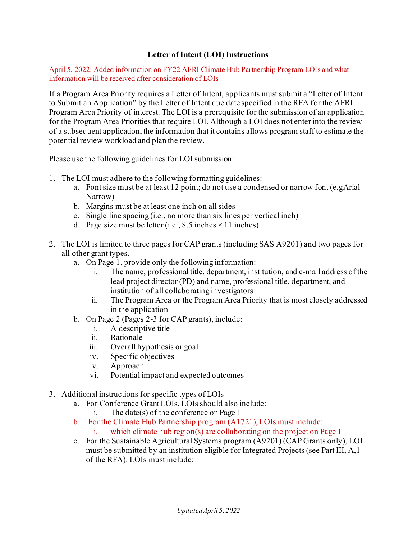## **Letter of Intent (LOI) Instructions**

April 5, 2022: Added information on FY22 AFRI Climate Hub Partnership Program LOIs and what information will be received after consideration of LOIs

If a Program Area Priority requires a Letter of Intent, applicants must submit a "Letter of Intent to Submit an Application" by the Letter of Intent due date specified in the RFA for the AFRI Program Area Priority of interest. The LOI is a prerequisite for the submission of an application for the Program Area Priorities that require LOI. Although a LOI does not enter into the review of a subsequent application, the information that it contains allows program staff to estimate the potential review workload and plan the review.

Please use the following guidelines for LOI submission:

- 1. The LOI must adhere to the following formatting guidelines:
	- a. Font size must be at least 12 point; do not use a condensed or narrow font (e.gArial Narrow)
	- b. Margins must be at least one inch on all sides
	- c. Single line spacing (i.e., no more than six lines per vertical inch)
	- d. Page size must be letter (i.e., 8.5 inches  $\times$  11 inches)
- 2. The LOI is limited to three pages for CAP grants (including SAS A9201) and two pages for all other grant types.
	- a. On Page 1, provide only the following information:
		- i. The name, professional title, department, institution, and e-mail address of the lead project director (PD) and name, professional title, department, and institution of all collaborating investigators
		- ii. The Program Area or the Program Area Priority that is most closely addressed in the application
	- b. On Page 2 (Pages 2-3 for CAP grants), include:
		- i. A descriptive title
		- ii. Rationale
		- iii. Overall hypothesis or goal
		- iv. Specific objectives
		- v. Approach
		- vi. Potential impact and expected outcomes
- 3. Additional instructions for specific types of LOIs
	- a. For Conference Grant LOIs, LOIs should also include:
		- i. The date(s) of the conference on Page 1
	- b. For the Climate Hub Partnership program (A1721), LOIs must include:
		- i. which climate hub region(s) are collaborating on the project on Page 1
	- c. For the Sustainable Agricultural Systems program (A9201) (CAP Grants only), LOI must be submitted by an institution eligible for Integrated Projects (see Part III, A,1 of the RFA). LOIs must include: